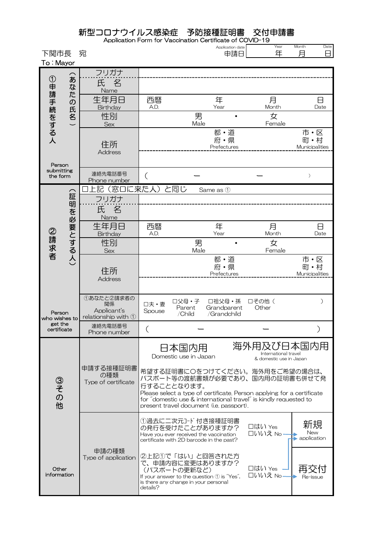|                         | 新型コロナウイルス感染症                                                     |                |                           | 予防接種証明書<br>Application Form for Vaccination Certificate of COVID-19 | 交付申請書           |                                     |
|-------------------------|------------------------------------------------------------------|----------------|---------------------------|---------------------------------------------------------------------|-----------------|-------------------------------------|
| 下関市長<br>To: Mayor       | 宛                                                                |                |                           | Application date<br>申請日                                             | Year<br>年       | Month<br>Date<br>戶<br>8             |
| $\widehat{\mathbf{z}}$  | フリガナ<br>氏                                                        |                |                           |                                                                     |                 |                                     |
| な<br>た                  | 名<br>Name                                                        |                |                           |                                                                     |                 |                                     |
| $\sigma$                | 生年月日<br>Birthday                                                 | 西暦<br>A.D.     |                           | 年<br>Year                                                           | 月<br>Month      | 8<br>Date                           |
| 氏名                      | 性別<br><b>Sex</b>                                                 |                | 男<br>Male                 |                                                                     | 女<br>Female     |                                     |
| ①申請手続をする人               | 住所<br><b>Address</b>                                             |                |                           | 都·道<br>府・県<br>Prefectures                                           |                 | 市・区<br>町・村<br>Municipalities        |
| Person<br>submitting    |                                                                  |                |                           |                                                                     |                 |                                     |
| the form                | 連絡先電話番号<br>Phone number                                          | (              |                           |                                                                     |                 | $\mathcal{C}$                       |
| 二                       | 記(窓口に来た人)<br>フリガナ                                                |                | と同じ                       | Same as 1                                                           |                 |                                     |
| 明を必要とする人)               | 名<br>氏<br>Name                                                   |                |                           |                                                                     |                 |                                     |
|                         | 生年月日<br>Birthday                                                 | 西暦<br>A.D.     |                           | 年<br>Year                                                           | 月<br>Month      | 8<br>Date                           |
| ②請求者                    | 性別<br><b>Sex</b>                                                 |                | 男<br>Male                 |                                                                     | 女<br>Female     |                                     |
|                         | 住所<br><b>Address</b>                                             |                |                           | 都·道<br>府·県<br>Prefectures                                           |                 | 市・区<br>町・村<br><b>Municipalities</b> |
| Person<br>who wishes to | ①あなたと2請求者の<br>関係<br>Applicant's<br>relationship with $\mathbb O$ | 口夫·妻<br>Spouse | 口父母·子<br>Parent<br>/Child | 口祖父母·孫<br>Grandparent<br>/Grandchild                                | □その他 (<br>Other | $\mathcal{C}$                       |
| get the                 | 法级开命拜买口                                                          |                |                           |                                                                     |                 |                                     |

| <b>BAL TIA</b><br>certificate | 連絡先電話番号<br>Phone number                 |                                                                                                                                                                                                                                                                           |                                                               |                                 |
|-------------------------------|-----------------------------------------|---------------------------------------------------------------------------------------------------------------------------------------------------------------------------------------------------------------------------------------------------------------------------|---------------------------------------------------------------|---------------------------------|
|                               |                                         | 日本国内用<br>Domestic use in Japan                                                                                                                                                                                                                                            | 海外用及び日本国内用<br>International travel<br>& domestic use in Japan |                                 |
| ③その<br>他                      | 申請する接種証明書<br>の種類<br>Type of certificate | 希望する証明書に〇をつけてください。海外用をご希望の場合は、<br>パスポート等の渡航書類が必要であり、国内用の証明書も併せて発<br>行することとなります。<br>Please select a type of certificate. Person applying for a certificate<br>for "domestic use & international travel" is kindly requested to<br>present travel document (i.e. passport). |                                                               |                                 |
|                               |                                         | ⑴過去に二次元コード付き接種証明書<br>の発行を受けたことがありますか?<br>Have you ever received the vaccination<br>certificate with 2D barcode in the past?                                                                                                                                               | □はい Yes<br>口いいえ No                                            | 新規<br><b>New</b><br>application |
| Other<br>information          | 申請の種類<br>Type of application            | ②上記①で「はい」と回答された方<br>で、申請内容に変更はありますか?<br>(パスポートの更新など)<br>If your answer to the question $\mathcal D$ is "Yes",<br>is there any change in your personal<br>details?                                                                                                         | □はい Yes<br>口いいえ No.                                           | Re-issue                        |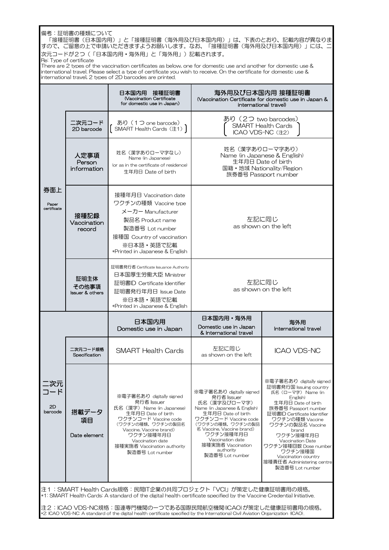|                             | 備考:証明書の種類について<br>Re: Type of certificate    | 「接種証明書(日本国内用)」と「接種証明書(海外用及び日本国内用)」は、下表のとおり、記載内容が異なりま<br>すので、ご留意の上で申請いただきますようお願いします。なお、「接種証明書(海外用及び日本国内用)」には、二<br>次元コードが2つ(「日本国内用・海外用」と「海外用」)記載されます。<br>There are 2 types of the vaccination certificates as below, one for domestic use and another for domestic use &<br>international travel. Please select a type of certificate you wish to receive. On the certificate for domestic use &<br>international travel, 2 types of 2D barcodes are printed. |                                                                                                                                                                                                                                                                             |                                                                                                                                                                                                                                                                                                                                                                      |  |
|-----------------------------|---------------------------------------------|-------------------------------------------------------------------------------------------------------------------------------------------------------------------------------------------------------------------------------------------------------------------------------------------------------------------------------------------------------------------------------------------------------------------------------------------------------------|-----------------------------------------------------------------------------------------------------------------------------------------------------------------------------------------------------------------------------------------------------------------------------|----------------------------------------------------------------------------------------------------------------------------------------------------------------------------------------------------------------------------------------------------------------------------------------------------------------------------------------------------------------------|--|
|                             |                                             | 日本国内用 接種証明書<br><b>Vaccination Certificate</b><br>for domestic use in Japan)                                                                                                                                                                                                                                                                                                                                                                                 |                                                                                                                                                                                                                                                                             | 海外用及び日本国内用 接種証明書<br>(Vaccination Certificate for domestic use in Japan &<br>international travel)                                                                                                                                                                                                                                                                    |  |
|                             | 二次元コード<br>2D barcode                        | あり (1つ one barcode)<br>SMART Health Cards (注1)                                                                                                                                                                                                                                                                                                                                                                                                              | あり (2つ two barcodes)<br>ICAO VDS-NC (注2)                                                                                                                                                                                                                                    | <b>SMART Health Cards</b>                                                                                                                                                                                                                                                                                                                                            |  |
|                             | 人定事項<br>Person<br>information               | 姓名(漢字ありローマ字なし)<br>Name (in Japanese)<br>(or as in the certificate of residence)<br>生年月日 Date of birth                                                                                                                                                                                                                                                                                                                                                       | 姓名 (漢字ありローマ字あり)                                                                                                                                                                                                                                                             | Name (in Japanese & English)<br>生年月日 Date of birth<br>国籍·地域 Nationality/Region<br>旅券番号 Passport number                                                                                                                                                                                                                                                               |  |
| 券面上<br>Paper<br>certificate | 接種記録<br>Vaccination<br>record               | 接種年月日 Vaccination date<br>ワクチンの種類 Vaccine type<br>メーカー Manufacturer<br>製品名 Product name<br>製造番号 Lot number<br>接種国 Country of vaccination<br>※日本語・英語で記載<br>*Printed in Japanese & English                                                                                                                                                                                                                                                                    |                                                                                                                                                                                                                                                                             | 左記に同じ<br>as shown on the left                                                                                                                                                                                                                                                                                                                                        |  |
|                             | 証明主体<br>その他事項<br><b>Issuer &amp; others</b> | 証明書発行者 Certificate Issuance Authority<br>日本国厚生労働大臣 Ministrer<br>証明書ID Certificate Identifier<br>証明書発行年月日 Issue Date<br>※日本語・英語で記載<br>*Printed in Japanese & English                                                                                                                                                                                                                                                                                         |                                                                                                                                                                                                                                                                             | 左記に同じ<br>as shown on the left                                                                                                                                                                                                                                                                                                                                        |  |
|                             |                                             | 日本国内用<br>Domestic use in Japan                                                                                                                                                                                                                                                                                                                                                                                                                              | 日本国内用・海外用<br>Domestic use in Japan<br>& International travel                                                                                                                                                                                                                | 海外用<br>International travel                                                                                                                                                                                                                                                                                                                                          |  |
|                             | 二次元コード規格<br>Specification                   | <b>SMART Health Cards</b>                                                                                                                                                                                                                                                                                                                                                                                                                                   | 左記に同じ<br>as shown on the left                                                                                                                                                                                                                                               | <b>ICAO VDS-NC</b>                                                                                                                                                                                                                                                                                                                                                   |  |
| 二次元<br>コード<br>2D<br>barcode | 搭載データ<br>項目<br>Date element                 | ※電子署名あり digitally signed<br>発行者 Issuer<br>氏名 (漢字) Name (in Japanese)<br>生年月日 Date of birth<br>ワクチンコード Vaccine code<br>(ワクチンの種類、ワクチンの製品名<br>Vaccine, Vaccine brand)<br>ワクチン接種年月日<br>Vaccination date<br>接種実施者 Vaccination authority<br>製造番号 Lot number                                                                                                                                                                                                       | ※電子署名あり digitally signed<br>発行者 Issuer<br>氏名(漢字及びローマ字)<br>Name (in Japanese & English)<br>生年月日 Date of birth<br>ワクチンコード Vaccine code<br>(ワクチンの種類、ワクチンの製品<br>名 Vaccine, Vaccine brand)<br>ワクチン接種年月日<br>Vaccination date<br>接種実施者 Vaccination<br>authority<br>製造番号 Lot number | ※電子署名あり digitally signed<br>証明書発行国 Issuing country<br>氏名(ローマ字) Name (in<br>English)<br>生年月日 Date of birth<br>旅券番号 Passport number<br>証明書ID Certificate Identifier<br>ワクチンの種類 Vaccine<br>ワクチンの製品名 Vaccine<br>brand<br>ワクチン接種年月日<br><b>Vaccination Date</b><br>ワクチン接種回数 Dose number<br>ワクチン接種国<br>Vaccination country<br>接種責任者 Administering centre<br>製造番号 Lot number |  |
|                             |                                             | 注1:SMART Health Cards規格:民間IT企業の共同プロジェクト「VCI」が策定した健康証明書用の規格。<br>*1. SMART Health Cards: A standard of the digital health certificate specified by the Vaccine Credential Initiative,<br>注2:ICAO VDS-NC規格:国連専門機関の一つである国際民間航空機関(ICAO)が策定した健康証明書用の規格。<br>*2: ICAO VDS-NC: A standard of the digital health certificate specified by the International Civil Aviation Organization (ICAO).                                                                       |                                                                                                                                                                                                                                                                             |                                                                                                                                                                                                                                                                                                                                                                      |  |

r